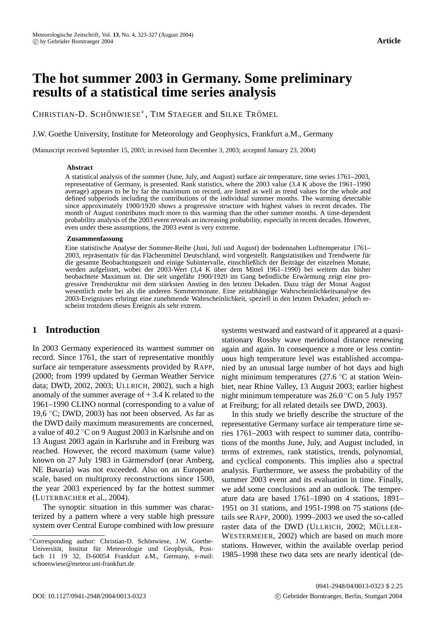# **The hot summer 2003 in Germany. Some preliminary results of a statistical time series analysis**

CHRISTIAN-D. SCHÖNWIESE<sup>\*</sup>, TIM STAEGER and SILKE TRÖMEL

J.W. Goethe University, Institute for Meteorology and Geophysics, Frankfurt a.M., Germany

(Manuscript received September 15, 2003; in revised form December 3, 2003; accepted January 23, 2004)

#### **Abstract**

A statistical analysis of the summer (June, July, and August) surface air temperature, time series 1761–2003, representative of Germany, is presented. Rank statistics, where the 2003 value (3.4 K above the 1961–1990 average) appears to be by far the maximum on record, are listed as well as trend values for the whole and defined subperiods including the contributions of the individual summer months. The warming detectable since approximately 1900/1920 shows a progressive structure with highest values in recent decades. The month of August contributes much more to this warming than the other summer months. A time-dependent probability analysis of the 2003 event reveals an increasing probability, especially in recent decades. However, even under these assumptions, the 2003 event is very extreme.

#### **Zusammenfassung**

Eine statistische Analyse der Sommer-Reihe (Juni, Juli und August) der bodennahen Lufttemperatur 1761– 2003, repräsentativ für das Flächenmittel Deutschland, wird vorgestellt. Rangstatistiken und Trendwerte für die gesamte Beobachtungszeit und einige Subintervalle, einschließlich der Beiträge der einzelnen Monate, werden aufgelistet, wobei der 2003-Wert (3,4 K über dem Mittel 1961–1990) bei weitem das bisher beobachtete Maximum ist. Die seit ungefähr 1900/1920 im Gang befindliche Erwärmung zeigt eine progressive Trendstruktur mit dem stärksten Anstieg in den letzten Dekaden. Dazu trägt der Monat August wesentlich mehr bei als die anderen Sommermonate. Eine zeitabhängige Wahrscheinlichkeitsanalyse des 2003-Ereignisses erbringt eine zunehmende Wahrscheinlichkeit, speziell in den letzten Dekaden; jedoch erscheint trotzdem dieses Ereignis als sehr extrem.

## **1 Introduction**

In 2003 Germany experienced its warmest summer on record. Since 1761, the start of representative monthly surface air temperature assessments provided by RAPP, (2000; from 1999 updated by German Weather Service data; DWD, 2002, 2003; ULLRICH, 2002), such a high anomaly of the summer average of  $+$  3.4 K related to the 1961–1990 CLINO normal (corresponding to a value of 19,6  $\degree$ C; DWD, 2003) has not been observed. As far as the DWD daily maximum measurements are concerned, a value of 40.2 ◦C on 9 August 2003 in Karlsruhe and on 13 August 2003 again in Karlsruhe and in Freiburg was reached. However, the record maximum (same value) known on 27 July 1983 in Gärmersdorf (near Amberg, NE Bavaria) was not exceeded. Also on an European scale, based on multiproxy reconstructions since 1500, the year 2003 experienced by far the hottest summer (LUTERBACHER et al., 2004).

The synoptic situation in this summer was characterized by a pattern where a very stable high pressure system over Central Europe combined with low pressure

systems westward and eastward of it appeared at a quasistationary Rossby wave meridional distance renewing again and again. In consequence a more or less continuous high temperature level was established accompanied by an unusual large number of hot days and high night minimum temperatures (27.6 ◦C at station Weinbiet, near Rhine Valley, 13 August 2003; earlier highest night minimum temperature was  $26.0\degree$ C on 5 July 1957 at Freiburg; for all related details see DWD, 2003).

In this study we briefly describe the structure of the representative Germany surface air temperature time series 1761–2003 with respect to summer data, contributions of the months June, July, and August included, in terms of extremes, rank statistics, trends, polynomial, and cyclical components. This implies also a spectral analysis. Furthermore, we assess the probability of the summer 2003 event and its evaluation in time. Finally, we add some conclusions and an outlook. The temperature data are based 1761–1890 on 4 stations, 1891– 1951 on 31 stations, and 1951-1998 on 75 stations (details see RAPP, 2000). 1999–2003 we used the so-called raster data of the DWD (ULLRICH, 2002; MÜLLER-WESTERMEIER, 2002) which are based on much more stations. However, within the available overlap period 1985–1998 these two data sets are nearly identical (de-

<sup>\*</sup>Corresponding author: Christian-D. Schönwiese, J.W. Goethe-Universität, Institut für Meteorologie und Geophysik, Postfach 11 19 32, D-60054 Frankfurt a.M., Germany, e-mail: schoenwiese@meteor.uni-frankfurt.de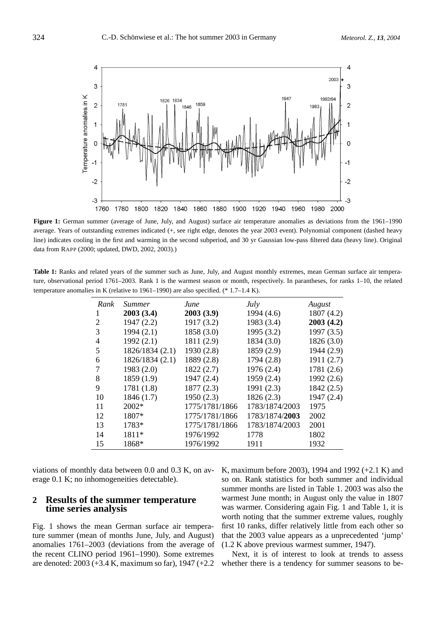

**Figure 1:** German summer (average of June, July, and August) surface air temperature anomalies as deviations from the 1961–1990 average. Years of outstanding extremes indicated (+, see right edge, denotes the year 2003 event). Polynomial component (dashed heavy line) indicates cooling in the first and warming in the second subperiod, and 30 yr Gaussian low-pass filtered data (heavy line). Original data from RAPP (2000; updated, DWD, 2002, 2003).)

**Table 1:** Ranks and related years of the summer such as June, July, and August monthly extremes, mean German surface air temperature, observational period 1761–2003. Rank 1 is the warmest season or month, respectively. In parantheses, for ranks 1–10, the related temperature anomalies in K (relative to 1961–1990) are also specified. (\* 1.7–1.4 K).

| Rank | <i>Summer</i>   | June           | <i>July</i>    | August     |
|------|-----------------|----------------|----------------|------------|
| 1    | 2003(3.4)       | 2003(3.9)      | 1994 (4.6)     | 1807(4.2)  |
| 2    | 1947(2.2)       | 1917 (3.2)     | 1983 (3.4)     | 2003(4.2)  |
| 3    | 1994(2.1)       | 1858 (3.0)     | 1995(3.2)      | 1997(3.5)  |
| 4    | 1992(2.1)       | 1811 (2.9)     | 1834(3.0)      | 1826(3.0)  |
| 5    | 1826/1834 (2.1) | 1930(2.8)      | 1859 (2.9)     | 1944 (2.9) |
| 6    | 1826/1834 (2.1) | 1889 (2.8)     | 1794 (2.8)     | 1911(2.7)  |
| 7    | 1983(2.0)       | 1822(2.7)      | 1976(2.4)      | 1781(2.6)  |
| 8    | 1859(1.9)       | 1947 (2.4)     | 1959(2.4)      | 1992(2.6)  |
| 9    | 1781(1.8)       | 1877(2.3)      | 1991(2.3)      | 1842 (2.5) |
| 10   | 1846 (1.7)      | 1950(2.3)      | 1826(2.3)      | 1947 (2.4) |
| 11   | $2002*$         | 1775/1781/1866 | 1783/1874/2003 | 1975       |
| 12   | 1807*           | 1775/1781/1866 | 1783/1874/2003 | 2002       |
| 13   | 1783*           | 1775/1781/1866 | 1783/1874/2003 | 2001       |
| 14   | 1811*           | 1976/1992      | 1778           | 1802       |
| 15   | 1868*           | 1976/1992      | 1911           | 1932       |

viations of monthly data between 0.0 and 0.3 K, on average 0.1 K; no inhomogeneities detectable).

### **2 Results of the summer temperature time series analysis**

Fig. 1 shows the mean German surface air temperature summer (mean of months June, July, and August) anomalies 1761–2003 (deviations from the average of the recent CLINO period 1961–1990). Some extremes are denoted: 2003 (+3.4 K, maximum so far), 1947 (+2.2

K, maximum before 2003), 1994 and 1992 (+2.1 K) and so on. Rank statistics for both summer and individual summer months are listed in Table 1. 2003 was also the warmest June month; in August only the value in 1807 was warmer. Considering again Fig. 1 and Table 1, it is worth noting that the summer extreme values, roughly first 10 ranks, differ relatively little from each other so that the 2003 value appears as a unprecedented 'jump' (1.2 K above previous warmest summer, 1947).

Next, it is of interest to look at trends to assess whether there is a tendency for summer seasons to be-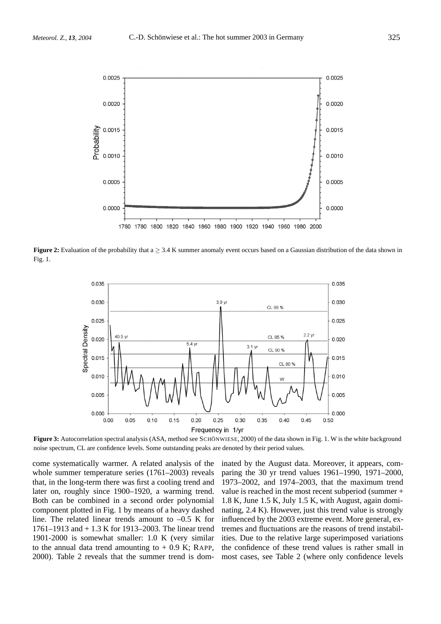

**Figure 2:** Evaluation of the probability that  $a \geq 3.4$  K summer anomaly event occurs based on a Gaussian distribution of the data shown in Fig. 1.



**Figure 3:** Autocorrelation spectral analysis (ASA, method see SCHÖNWIESE, 2000) of the data shown in Fig. 1. W is the white background noise spectrum, CL are confidence levels. Some outstanding peaks are denoted by their period values.

come systematically warmer. A related analysis of the whole summer temperature series (1761–2003) reveals that, in the long-term there was first a cooling trend and later on, roughly since 1900–1920, a warming trend. Both can be combined in a second order polynomial component plotted in Fig. 1 by means of a heavy dashed line. The related linear trends amount to  $-0.5$  K for 1761–1913 and + 1.3 K for 1913–2003. The linear trend 1901-2000 is somewhat smaller: 1.0 K (very similar to the annual data trend amounting to  $+$  0.9 K; RAPP, 2000). Table 2 reveals that the summer trend is dom-

inated by the August data. Moreover, it appears, comparing the 30 yr trend values 1961–1990, 1971–2000, 1973–2002, and 1974–2003, that the maximum trend value is reached in the most recent subperiod (summer + 1.8 K, June 1.5 K, July 1.5 K, with August, again dominating, 2.4 K). However, just this trend value is strongly influenced by the 2003 extreme event. More general, extremes and fluctuations are the reasons of trend instabilities. Due to the relative large superimposed variations the confidence of these trend values is rather small in most cases, see Table 2 (where only confidence levels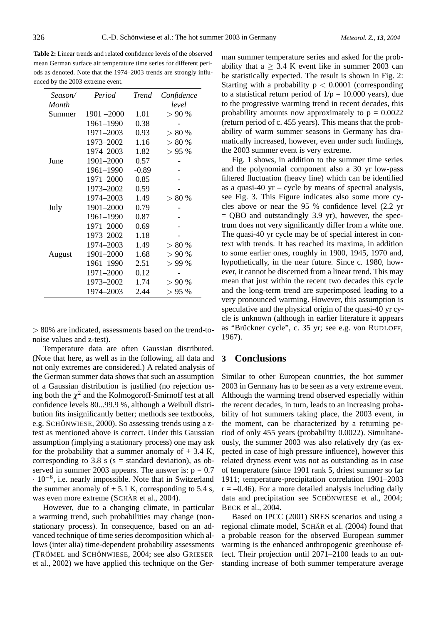**Table 2:** Linear trends and related confidence levels of the observed mean German surface air temperature time series for different periods as denoted. Note that the 1974–2003 trends are strongly influenced by the 2003 extreme event.

| Season/ | Period        | <b>Trend</b> | Confidence |
|---------|---------------|--------------|------------|
| Month   |               |              | level      |
| Summer  | $1901 - 2000$ | 1.01         | > 90%      |
|         | 1961-1990     | 0.38         |            |
|         | 1971-2003     | 0.93         | >80%       |
|         | 1973-2002     | 1.16         | > 80%      |
|         | 1974–2003     | 1.82         | > 95%      |
| June    | 1901-2000     | 0.57         |            |
|         | 1961-1990     | $-0.89$      |            |
|         | 1971-2000     | 0.85         |            |
|         | 1973-2002     | 0.59         |            |
|         | 1974–2003     | 1.49         | >80%       |
| July    | 1901-2000     | 0.79         |            |
|         | 1961-1990     | 0.87         |            |
|         | 1971-2000     | 0.69         |            |
|         | 1973-2002     | 1.18         |            |
|         | 1974–2003     | 1.49         | > 80 %     |
| August  | 1901-2000     | 1.68         | > 90%      |
|         | 1961–1990     | 2.51         | > 99%      |
|         | 1971-2000     | 0.12         |            |
|         | 1973-2002     | 1.74         | > 90%      |
|         | 1974–2003     | 2.44         | >95%       |

*>* 80% are indicated, assessments based on the trend-tonoise values and z-test).

Temperature data are often Gaussian distributed. (Note that here, as well as in the following, all data and not only extremes are considered.) A related analysis of the German summer data shows that such an assumption of a Gaussian distribution is justified (no rejection using both the  $\chi^2$  and the Kolmogoroff-Smirnoff test at all confidence levels 80...99.9 %, although a Weibull distribution fits insignificantly better; methods see textbooks, e.g. SCHÖNWIESE, 2000). So assessing trends using a ztest as mentioned above is correct. Under this Gaussian assumption (implying a stationary process) one may ask for the probability that a summer anomaly of  $+ 3.4$  K, corresponding to 3.8 s ( $s =$  standard deviation), as observed in summer 2003 appears. The answer is:  $p = 0.7$ · <sup>10</sup>−6, i.e. nearly impossible. Note that in Switzerland the summer anomaly of  $+ 5.1$  K, corresponding to 5.4 s, was even more extreme (SCHÄR et al., 2004).

However, due to a changing climate, in particular a warming trend, such probabilities may change (nonstationary process). In consequence, based on an advanced technique of time series decomposition which allows (inter alia) time-dependent probability assessments (TRÖMEL and SCHÖNWIESE, 2004; see also GRIESER et al., 2002) we have applied this technique on the Ger-

man summer temperature series and asked for the probability that  $a > 3.4$  K event like in summer 2003 can be statistically expected. The result is shown in Fig. 2: Starting with a probability p *<* 0.0001 (corresponding to a statistical return period of  $1/p = 10.000$  years), due to the progressive warming trend in recent decades, this probability amounts now approximately to  $p = 0.0022$ (return period of c. 455 years). This means that the probability of warm summer seasons in Germany has dramatically increased, however, even under such findings, the 2003 summer event is very extreme.

Fig. 1 shows, in addition to the summer time series and the polynomial component also a 30 yr low-pass filtered fluctuation (heavy line) which can be identified as a quasi-40  $yr - cycle$  by means of spectral analysis, see Fig. 3. This Figure indicates also some more cycles above or near the 95 % confidence level (2.2 yr  $=$  QBO and outstandingly 3.9 yr), however, the spectrum does not very significantly differ from a white one. The quasi-40 yr cycle may be of special interest in context with trends. It has reached its maxima, in addition to some earlier ones, roughly in 1900, 1945, 1970 and, hypothetically, in the near future. Since c. 1980, however, it cannot be discerned from a linear trend. This may mean that just within the recent two decades this cycle and the long-term trend are superimposed leading to a very pronounced warming. However, this assumption is speculative and the physical origin of the quasi-40 yr cycle is unknown (although in earlier literature it appears as "Brückner cycle", c. 35 yr; see e.g. von RUDLOFF, 1967).

## **3 Conclusions**

Similar to other European countries, the hot summer 2003 in Germany has to be seen as a very extreme event. Although the warming trend observed especially within the recent decades, in turn, leads to an increasing probability of hot summers taking place, the 2003 event, in the moment, can be characterized by a returning period of only 455 years (probability 0.0022). Simultaneously, the summer 2003 was also relatively dry (as expected in case of high pressure influence), however this related dryness event was not as outstanding as in case of temperature (since 1901 rank 5, driest summer so far 1911; temperature-precipitation correlation 1901–2003  $r = -0.46$ ). For a more detailed analysis including daily data and precipitation see SCHÖNWIESE et al., 2004; BECK et al., 2004.

Based on IPCC (2001) SRES scenarios and using a regional climate model, SCHÄR et al. (2004) found that a probable reason for the observed European summer warming is the enhanced anthropogenic greenhouse effect. Their projection until 2071–2100 leads to an outstanding increase of both summer temperature average